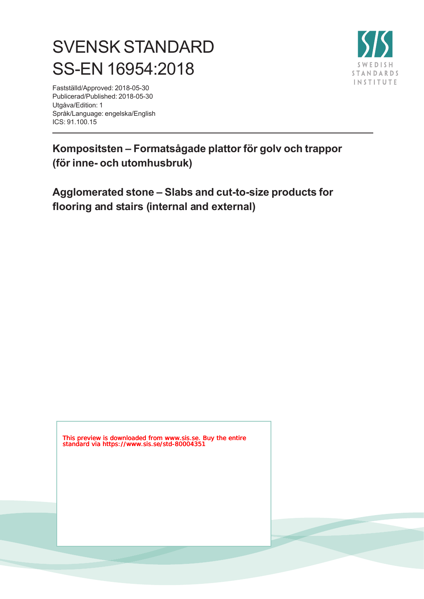# SVENSK STANDARD SS-EN 16954:2018



Fastställd/Approved: 2018-05-30 Publicerad/Published: 2018-05-30 Utgåva/Edition: 1 Språk/Language: engelska/English ICS: 91.100.15

# **Kompositsten – Formatsågade plattor för golv och trappor (för inne- och utomhusbruk)**

**Agglomerated stone – Slabs and cut-to-size products for flooring and stairs (internal and external)**

This preview is downloaded from www.sis.se. Buy the entire standard via https://www.sis.se/std-80004351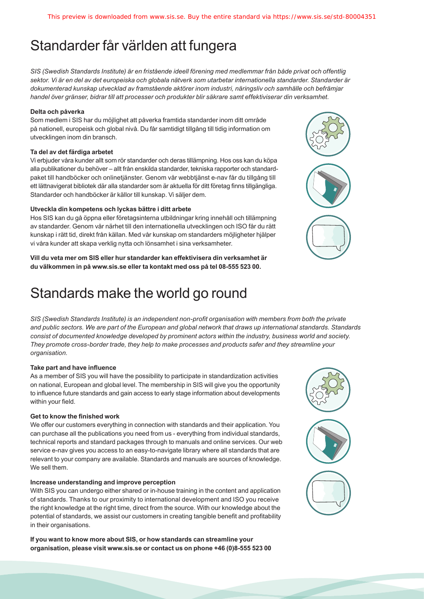# Standarder får världen att fungera

*SIS (Swedish Standards Institute) är en fristående ideell förening med medlemmar från både privat och offentlig sektor. Vi är en del av det europeiska och globala nätverk som utarbetar internationella standarder. Standarder är dokumenterad kunskap utvecklad av framstående aktörer inom industri, näringsliv och samhälle och befrämjar handel över gränser, bidrar till att processer och produkter blir säkrare samt effektiviserar din verksamhet.* 

#### **Delta och påverka**

Som medlem i SIS har du möjlighet att påverka framtida standarder inom ditt område på nationell, europeisk och global nivå. Du får samtidigt tillgång till tidig information om utvecklingen inom din bransch.

#### **Ta del av det färdiga arbetet**

Vi erbjuder våra kunder allt som rör standarder och deras tillämpning. Hos oss kan du köpa alla publikationer du behöver – allt från enskilda standarder, tekniska rapporter och standardpaket till handböcker och onlinetjänster. Genom vår webbtjänst e-nav får du tillgång till ett lättnavigerat bibliotek där alla standarder som är aktuella för ditt företag finns tillgängliga. Standarder och handböcker är källor till kunskap. Vi säljer dem.

#### **Utveckla din kompetens och lyckas bättre i ditt arbete**

Hos SIS kan du gå öppna eller företagsinterna utbildningar kring innehåll och tillämpning av standarder. Genom vår närhet till den internationella utvecklingen och ISO får du rätt kunskap i rätt tid, direkt från källan. Med vår kunskap om standarders möjligheter hjälper vi våra kunder att skapa verklig nytta och lönsamhet i sina verksamheter.

**Vill du veta mer om SIS eller hur standarder kan effektivisera din verksamhet är du välkommen in på www.sis.se eller ta kontakt med oss på tel 08-555 523 00.**

# Standards make the world go round

*SIS (Swedish Standards Institute) is an independent non-profit organisation with members from both the private and public sectors. We are part of the European and global network that draws up international standards. Standards consist of documented knowledge developed by prominent actors within the industry, business world and society. They promote cross-border trade, they help to make processes and products safer and they streamline your organisation.*

#### **Take part and have influence**

As a member of SIS you will have the possibility to participate in standardization activities on national, European and global level. The membership in SIS will give you the opportunity to influence future standards and gain access to early stage information about developments within your field.

#### **Get to know the finished work**

We offer our customers everything in connection with standards and their application. You can purchase all the publications you need from us - everything from individual standards, technical reports and standard packages through to manuals and online services. Our web service e-nav gives you access to an easy-to-navigate library where all standards that are relevant to your company are available. Standards and manuals are sources of knowledge. We sell them.

#### **Increase understanding and improve perception**

With SIS you can undergo either shared or in-house training in the content and application of standards. Thanks to our proximity to international development and ISO you receive the right knowledge at the right time, direct from the source. With our knowledge about the potential of standards, we assist our customers in creating tangible benefit and profitability in their organisations.

**If you want to know more about SIS, or how standards can streamline your organisation, please visit www.sis.se or contact us on phone +46 (0)8-555 523 00**



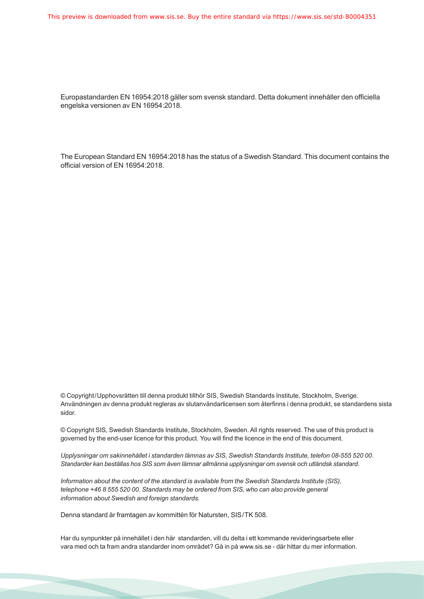Europastandarden EN 16954:2018 gäller som svensk standard. Detta dokument innehåller den officiella engelska versionen av EN 16954:2018.

The European Standard EN 16954:2018 has the status of a Swedish Standard. This document contains the official version of EN 16954:2018.

© Copyright / Upphovsrätten till denna produkt tillhör SIS, Swedish Standards Institute, Stockholm, Sverige. Användningen av denna produkt regleras av slutanvändarlicensen som återfinns i denna produkt, se standardens sista sidor.

© Copyright SIS, Swedish Standards Institute, Stockholm, Sweden. All rights reserved. The use of this product is governed by the end-user licence for this product. You will find the licence in the end of this document.

*Upplysningar om sakinnehållet i standarden lämnas av SIS, Swedish Standards Institute, telefon 08-555 520 00. Standarder kan beställas hos SIS som även lämnar allmänna upplysningar om svensk och utländsk standard.*

*Information about the content of the standard is available from the Swedish Standards Institute (SIS), telephone +46 8 555 520 00. Standards may be ordered from SIS, who can also provide general information about Swedish and foreign standards.*

Denna standard är framtagen av kommittén för Natursten, SIS / TK 508.

Har du synpunkter på innehållet i den här standarden, vill du delta i ett kommande revideringsarbete eller vara med och ta fram andra standarder inom området? Gå in på www.sis.se - där hittar du mer information.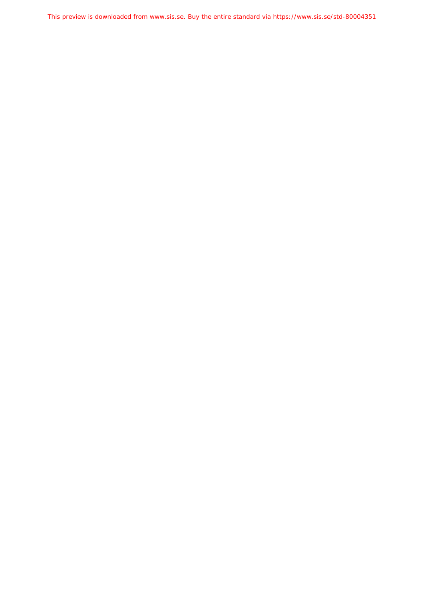This preview is downloaded from www.sis.se. Buy the entire standard via https://www.sis.se/std-80004351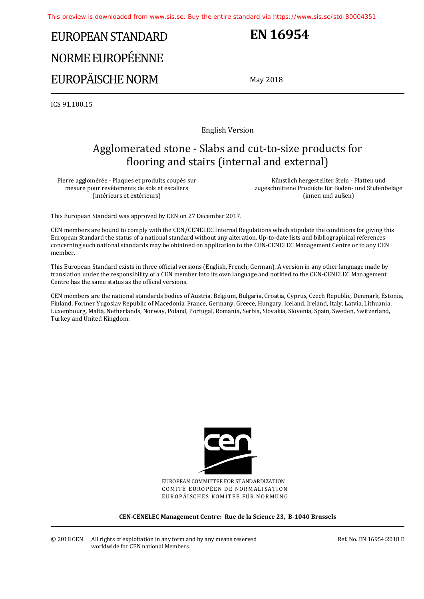# EUROPEAN STANDARD NORME EUROPÉENNE EUROPÄISCHE NORM

# **EN 16954**

May 2018

ICS 91.100.15

English Version

# Agglomerated stone - Slabs and cut-to-size products for flooring and stairs (internal and external)

Pierre agglomérée - Plaques et produits coupés sur mesure pour revêtements de sols et escaliers (intérieurs et extérieurs)

Künstlich hergestellter Stein - Platten und zugeschnittene Produkte für Boden- und Stufenbeläge (innen und außen)

This European Standard was approved by CEN on 27 December 2017.

CEN members are bound to comply with the CEN/CENELEC Internal Regulations which stipulate the conditions for giving this European Standard the status of a national standard without any alteration. Up-to-date lists and bibliographical references concerning such national standards may be obtained on application to the CEN-CENELEC Management Centre or to any CEN member.

This European Standard exists in three official versions (English, French, German). A version in any other language made by translation under the responsibility of a CEN member into its own language and notified to the CEN-CENELEC Management Centre has the same status as the official versions.

CEN members are the national standards bodies of Austria, Belgium, Bulgaria, Croatia, Cyprus, Czech Republic, Denmark, Estonia, Finland, Former Yugoslav Republic of Macedonia, France, Germany, Greece, Hungary, Iceland, Ireland, Italy, Latvia, Lithuania, Luxembourg, Malta, Netherlands, Norway, Poland, Portugal, Romania, Serbia, Slovakia, Slovenia, Spain, Sweden, Switzerland, Turkey and United Kingdom.



EUROPEAN COMMITTEE FOR STANDARDIZATION COMITÉ EUROPÉEN DE NORMALISATION EUROPÄISCHES KOMITEE FÜR NORMUNG

**CEN-CENELEC Management Centre: Rue de la Science 23, B-1040 Brussels**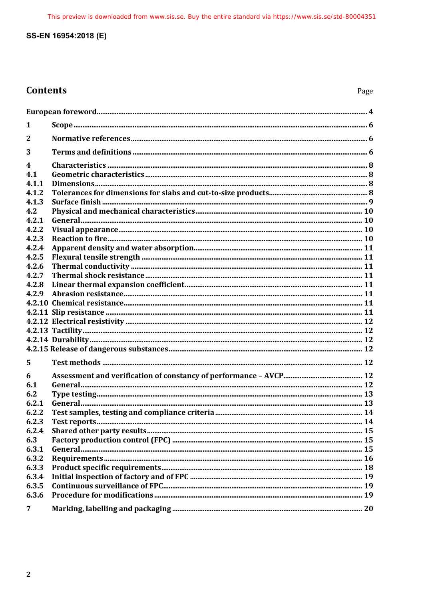This preview is downloaded from www.sis.se. Buy the entire standard via https://www.sis.se/std-80004351

### SS-EN 16954:2018 (E)

## **Contents**

| 1              |  |  |  |  |
|----------------|--|--|--|--|
| $\overline{2}$ |  |  |  |  |
| 3              |  |  |  |  |
| 4              |  |  |  |  |
| 4.1            |  |  |  |  |
| 4.1.1          |  |  |  |  |
| 4.1.2          |  |  |  |  |
| 4.1.3          |  |  |  |  |
| 4.2            |  |  |  |  |
| 4.2.1          |  |  |  |  |
| 4.2.2          |  |  |  |  |
| 4.2.3          |  |  |  |  |
| 4.2.4          |  |  |  |  |
| 4.2.5          |  |  |  |  |
| 4.2.6          |  |  |  |  |
| 4.2.7          |  |  |  |  |
| 4.2.8          |  |  |  |  |
| 4.2.9          |  |  |  |  |
|                |  |  |  |  |
|                |  |  |  |  |
|                |  |  |  |  |
|                |  |  |  |  |
|                |  |  |  |  |
|                |  |  |  |  |
| 5              |  |  |  |  |
| 6              |  |  |  |  |
| 6.1            |  |  |  |  |
| 6.2            |  |  |  |  |
| 6.2.1          |  |  |  |  |
| 6.2.2          |  |  |  |  |
| 6.2.3          |  |  |  |  |
| 6.2.4          |  |  |  |  |
| 6.3            |  |  |  |  |
| 6.3.1          |  |  |  |  |
| 6.3.2          |  |  |  |  |
| 6.3.3          |  |  |  |  |
| 6.3.4          |  |  |  |  |
| 6.3.5          |  |  |  |  |
| 6.3.6          |  |  |  |  |
| $\overline{7}$ |  |  |  |  |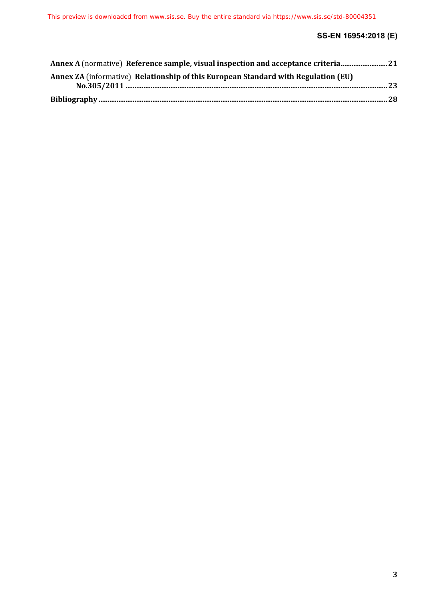| Annex A (normative) Reference sample, visual inspection and acceptance criteria21  |  |
|------------------------------------------------------------------------------------|--|
| Annex ZA (informative) Relationship of this European Standard with Regulation (EU) |  |
|                                                                                    |  |
|                                                                                    |  |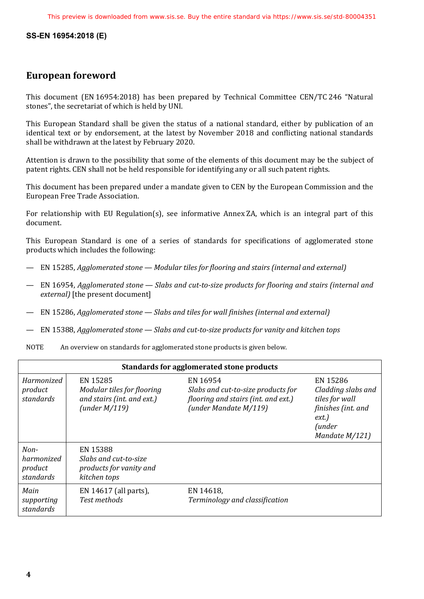### <span id="page-7-0"></span>**European foreword**

This document (EN 16954:2018) has been prepared by Technical Committee CEN/TC 246 "Natural stones", the secretariat of which is held by UNI.

This European Standard shall be given the status of a national standard, either by publication of an identical text or by endorsement, at the latest by November 2018 and conflicting national standards shall be withdrawn at the latest by February 2020.

Attention is drawn to the possibility that some of the elements of this document may be the subject of patent rights. CEN shall not be held responsible for identifying any or all such patent rights.

This document has been prepared under a mandate given to CEN by the European Commission and the European Free Trade Association.

For relationship with EU Regulation(s), see informative Annex ZA, which is an integral part of this document.

This European Standard is one of a series of standards for specifications of agglomerated stone products which includes the following:

- EN 15285, *Agglomerated stone Modular tiles for flooring and stairs (internal and external)*
- EN 16954, *Agglomerated stone Slabs and cut-to-size products for flooring and stairs (internal and external)* [the present document]
- EN 15286, *Agglomerated stone Slabs and tiles for wall finishes (internal and external)*
- EN 15388, *Agglomerated stone Slabs and cut-to-size products for vanity and kitchen tops*
- NOTE An overview on standards for agglomerated stone products is given below.

| Standards for agglomerated stone products    |                                                                                          |                                                                                                                |                                                                                                                    |  |  |  |
|----------------------------------------------|------------------------------------------------------------------------------------------|----------------------------------------------------------------------------------------------------------------|--------------------------------------------------------------------------------------------------------------------|--|--|--|
| Harmonized<br>product<br>standards           | EN 15285<br>Modular tiles for flooring<br>and stairs (int. and ext.)<br>(under $M/119$ ) | EN 16954<br>Slabs and cut-to-size products for<br>flooring and stairs (int. and ext.)<br>(under Mandate M/119) | EN 15286<br>Cladding slabs and<br>tiles for wall<br>finishes (int. and<br>ext.<br><i>(under)</i><br>Mandate M/121) |  |  |  |
| $Non-$<br>harmonized<br>product<br>standards | EN 15388<br>Slabs and cut-to-size<br>products for vanity and<br>kitchen tops             |                                                                                                                |                                                                                                                    |  |  |  |
| Main<br>supporting<br>standards              | EN 14617 (all parts),<br>Test methods                                                    | EN 14618,<br>Terminology and classification                                                                    |                                                                                                                    |  |  |  |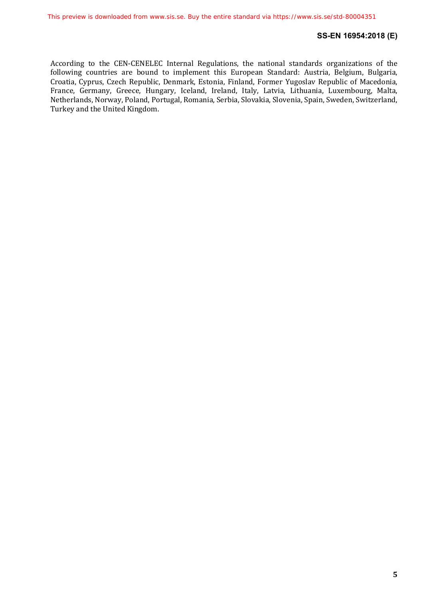According to the CEN-CENELEC Internal Regulations, the national standards organizations of the following countries are bound to implement this European Standard: Austria, Belgium, Bulgaria, Croatia, Cyprus, Czech Republic, Denmark, Estonia, Finland, Former Yugoslav Republic of Macedonia, France, Germany, Greece, Hungary, Iceland, Ireland, Italy, Latvia, Lithuania, Luxembourg, Malta, Netherlands, Norway, Poland, Portugal, Romania, Serbia, Slovakia, Slovenia, Spain, Sweden, Switzerland, Turkey and the United Kingdom.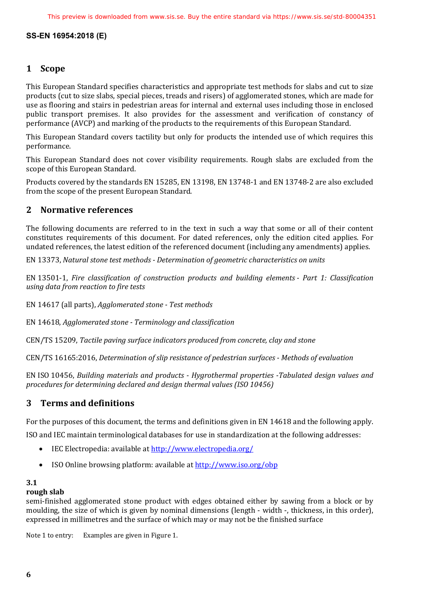### <span id="page-9-0"></span>**1 Scope**

This European Standard specifies characteristics and appropriate test methods for slabs and cut to size products (cut to size slabs, special pieces, treads and risers) of agglomerated stones, which are made for use as flooring and stairs in pedestrian areas for internal and external uses including those in enclosed public transport premises. It also provides for the assessment and verification of constancy of performance (AVCP) and marking of the products to the requirements of this European Standard.

This European Standard covers tactility but only for products the intended use of which requires this performance.

This European Standard does not cover visibility requirements. Rough slabs are excluded from the scope of this European Standard.

Products covered by the standards EN 15285, EN 13198, EN 13748-1 and EN 13748-2 are also excluded from the scope of the present European Standard.

#### <span id="page-9-1"></span>**2 Normative references**

The following documents are referred to in the text in such a way that some or all of their content constitutes requirements of this document. For dated references, only the edition cited applies. For undated references, the latest edition of the referenced document (including any amendments) applies.

EN 13373, *Natural stone test methods - Determination of geometric characteristics on units*

EN 13501-1, *Fire classification of construction products and building elements - Part 1: Classification using data from reaction to fire tests*

EN 14617 (all parts), *Agglomerated stone - Test methods*

EN 14618, *Agglomerated stone - Terminology and classification*

CEN/TS 15209, *Tactile paving surface indicators produced from concrete, clay and stone*

CEN/TS 16165:2016, *Determination of slip resistance of pedestrian surfaces - Methods of evaluation*

EN ISO 10456, *Building materials and products - Hygrothermal properties -Tabulated design values and procedures for determining declared and design thermal values (ISO 10456)*

### <span id="page-9-2"></span>**3 Terms and definitions**

For the purposes of this document, the terms and definitions given in EN 14618 and the following apply. ISO and IEC maintain terminological databases for use in standardization at the following addresses:

- IEC Electropedia: available at<http://www.electropedia.org/>
- ISO Online browsing platform: available at<http://www.iso.org/obp>

#### **3.1**

#### **rough slab**

semi-finished agglomerated stone product with edges obtained either by sawing from a block or by moulding, the size of which is given by nominal dimensions (length - width -, thickness, in this order), expressed in millimetres and the surface of which may or may not be the finished surface

Note 1 to entry: Examples are given in Figure 1.